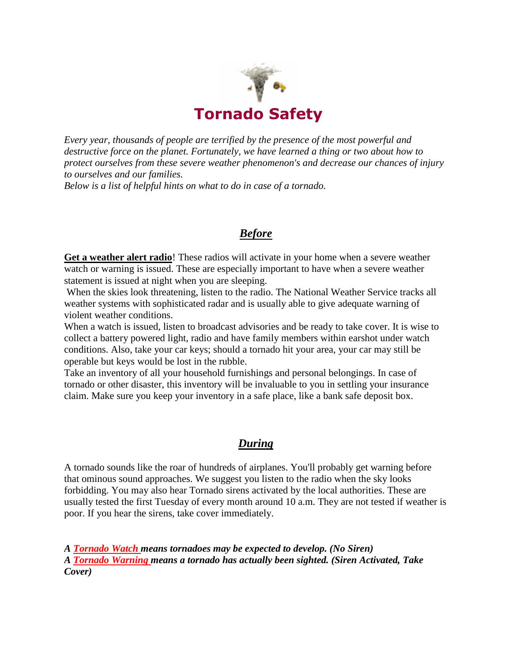

*Every year, thousands of people are terrified by the presence of the most powerful and destructive force on the planet. Fortunately, we have learned a thing or two about how to protect ourselves from these severe weather phenomenon's and decrease our chances of injury to ourselves and our families.*

*Below is a list of helpful hints on what to do in case of a tornado.*

## *Before*

**Get a weather alert radio**! These radios will activate in your home when a severe weather watch or warning is issued. These are especially important to have when a severe weather statement is issued at night when you are sleeping.

When the skies look threatening, listen to the radio. The National Weather Service tracks all weather systems with sophisticated radar and is usually able to give adequate warning of violent weather conditions.

When a watch is issued, listen to broadcast advisories and be ready to take cover. It is wise to collect a battery powered light, radio and have family members within earshot under watch conditions. Also, take your car keys; should a tornado hit your area, your car may still be operable but keys would be lost in the rubble.

Take an inventory of all your household furnishings and personal belongings. In case of tornado or other disaster, this inventory will be invaluable to you in settling your insurance claim. Make sure you keep your inventory in a safe place, like a bank safe deposit box.

## *During*

A tornado sounds like the roar of hundreds of airplanes. You'll probably get warning before that ominous sound approaches. We suggest you listen to the radio when the sky looks forbidding. You may also hear Tornado sirens activated by the local authorities. These are usually tested the first Tuesday of every month around 10 a.m. They are not tested if weather is poor. If you hear the sirens, take cover immediately.

*A Tornado Watch means tornadoes may be expected to develop. (No Siren) A Tornado Warning means a tornado has actually been sighted. (Siren Activated, Take Cover)*